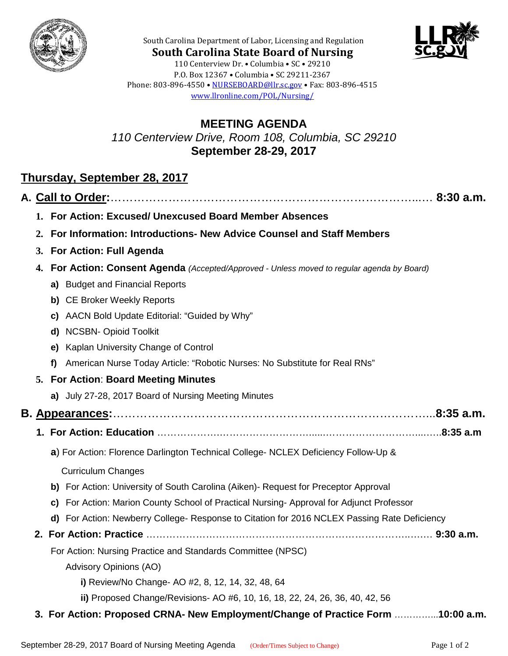



**South Carolina State Board of Nursing** 110 Centerview Dr. • Columbia • SC • 29210 P.O. Box 12367 • Columbia • SC 29211-2367 Phone: 803-896-4550 • [NURSEBOARD@llr.sc.gov](mailto:contactllr@llr.sc.gov) • Fax: 803-896-4515 [www.llronline.com/POL/Nursing/](http://www.llronline.com/POL/Nursing/)

South Carolina Department of Labor, Licensing and Regulation

## **MEETING AGENDA** *110 Centerview Drive, Room 108, Columbia, SC 29210* **September 28-29, 2017**

## **Thursday, September 28, 2017**

|  |    | 1. For Action: Excused/ Unexcused Board Member Absences                                      |  |  |
|--|----|----------------------------------------------------------------------------------------------|--|--|
|  | 2. | For Information: Introductions- New Advice Counsel and Staff Members                         |  |  |
|  | 3. | <b>For Action: Full Agenda</b>                                                               |  |  |
|  | 4. | For Action: Consent Agenda (Accepted/Approved - Unless moved to regular agenda by Board)     |  |  |
|  |    | a) Budget and Financial Reports                                                              |  |  |
|  |    | b) CE Broker Weekly Reports                                                                  |  |  |
|  |    | c) AACN Bold Update Editorial: "Guided by Why"                                               |  |  |
|  |    | d) NCSBN- Opioid Toolkit                                                                     |  |  |
|  |    | Kaplan University Change of Control<br>e)                                                    |  |  |
|  |    | American Nurse Today Article: "Robotic Nurses: No Substitute for Real RNs"<br>f)             |  |  |
|  |    | 5. For Action: Board Meeting Minutes                                                         |  |  |
|  |    | a) July 27-28, 2017 Board of Nursing Meeting Minutes                                         |  |  |
|  |    |                                                                                              |  |  |
|  |    | 1. For Action: Education …………………………………………………………………………………8:35 a.m                             |  |  |
|  |    | a) For Action: Florence Darlington Technical College- NCLEX Deficiency Follow-Up &           |  |  |
|  |    | <b>Curriculum Changes</b>                                                                    |  |  |
|  |    | b) For Action: University of South Carolina (Aiken)- Request for Preceptor Approval          |  |  |
|  |    | c) For Action: Marion County School of Practical Nursing-Approval for Adjunct Professor      |  |  |
|  |    | d) For Action: Newberry College- Response to Citation for 2016 NCLEX Passing Rate Deficiency |  |  |
|  |    |                                                                                              |  |  |
|  |    | For Action: Nursing Practice and Standards Committee (NPSC)                                  |  |  |
|  |    | <b>Advisory Opinions (AO)</b>                                                                |  |  |
|  |    | i) Review/No Change- AO #2, 8, 12, 14, 32, 48, 64                                            |  |  |
|  |    | ii) Proposed Change/Revisions- AO #6, 10, 16, 18, 22, 24, 26, 36, 40, 42, 56                 |  |  |
|  |    | 3. For Action: Proposed CRNA- New Employment/Change of Practice Form 10:00 a.m.              |  |  |